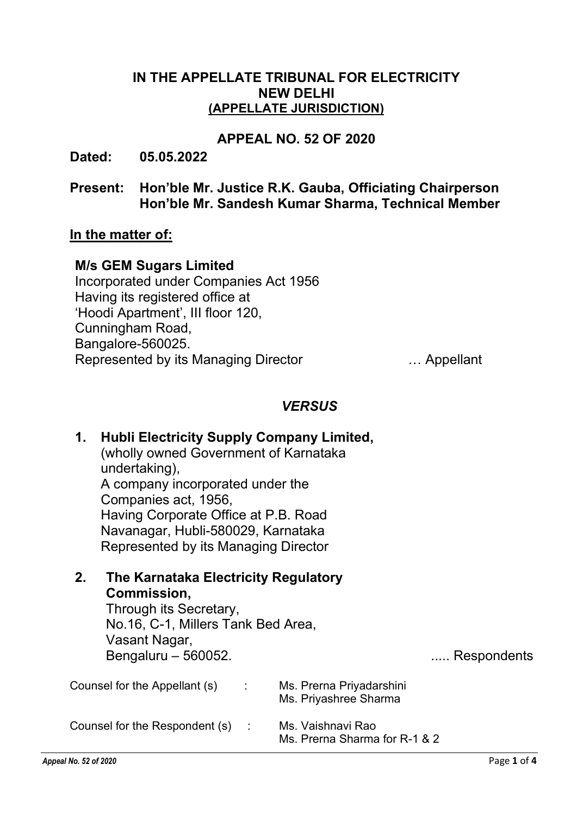## IN THE APPELLATE TRIBUNAL FOR ELECTRICITY NEW DELHI (APPELLATE JURISDICTION)

## APPEAL NO. 52 OF 2020

Dated: 05.05.2022

## Present: Hon'ble Mr. Justice R.K. Gauba, Officiating Chairperson Hon'ble Mr. Sandesh Kumar Sharma, Technical Member

## In the matter of:

## M/s GEM Sugars Limited

Incorporated under Companies Act 1956 Having its registered office at 'Hoodi Apartment', III floor 120, Cunningham Road, Bangalore-560025. Represented by its Managing Director **Example 20** 1. Appellant

## **VERSUS**

| 1.                                              | <b>Hubli Electricity Supply Company Limited,</b><br>(wholly owned Government of Karnataka<br>undertaking),<br>A company incorporated under the<br>Companies act, 1956,<br>Having Corporate Office at P.B. Road<br>Navanagar, Hubli-580029, Karnataka<br>Represented by its Managing Director<br>The Karnataka Electricity Regulatory<br>Commission,<br>Through its Secretary,<br>No.16, C-1, Millers Tank Bed Area,<br>Vasant Nagar,<br>Bengaluru - 560052.<br>Respondents |  |                                                    |  |
|-------------------------------------------------|----------------------------------------------------------------------------------------------------------------------------------------------------------------------------------------------------------------------------------------------------------------------------------------------------------------------------------------------------------------------------------------------------------------------------------------------------------------------------|--|----------------------------------------------------|--|
| 2.                                              |                                                                                                                                                                                                                                                                                                                                                                                                                                                                            |  |                                                    |  |
| Counsel for the Appellant $(s)$ :               |                                                                                                                                                                                                                                                                                                                                                                                                                                                                            |  | Ms. Prerna Priyadarshini<br>Ms. Priyashree Sharma  |  |
| Counsel for the Respondent (s)<br>$\mathcal{L}$ |                                                                                                                                                                                                                                                                                                                                                                                                                                                                            |  | Ms. Vaishnavi Rao<br>Ms. Prerna Sharma for R-1 & 2 |  |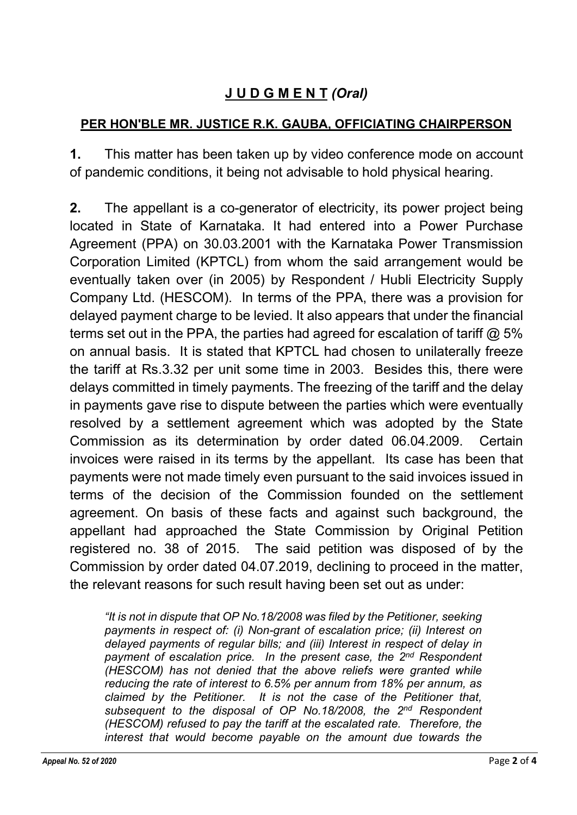# J U D G M E N T (Oral)

## PER HON'BLE MR. JUSTICE R.K. GAUBA, OFFICIATING CHAIRPERSON

1. This matter has been taken up by video conference mode on account of pandemic conditions, it being not advisable to hold physical hearing.

2. The appellant is a co-generator of electricity, its power project being located in State of Karnataka. It had entered into a Power Purchase Agreement (PPA) on 30.03.2001 with the Karnataka Power Transmission Corporation Limited (KPTCL) from whom the said arrangement would be eventually taken over (in 2005) by Respondent / Hubli Electricity Supply Company Ltd. (HESCOM). In terms of the PPA, there was a provision for delayed payment charge to be levied. It also appears that under the financial terms set out in the PPA, the parties had agreed for escalation of tariff  $\omega$  5% on annual basis. It is stated that KPTCL had chosen to unilaterally freeze the tariff at Rs.3.32 per unit some time in 2003. Besides this, there were delays committed in timely payments. The freezing of the tariff and the delay in payments gave rise to dispute between the parties which were eventually resolved by a settlement agreement which was adopted by the State Commission as its determination by order dated 06.04.2009. Certain invoices were raised in its terms by the appellant. Its case has been that payments were not made timely even pursuant to the said invoices issued in terms of the decision of the Commission founded on the settlement agreement. On basis of these facts and against such background, the appellant had approached the State Commission by Original Petition registered no. 38 of 2015. The said petition was disposed of by the Commission by order dated 04.07.2019, declining to proceed in the matter, the relevant reasons for such result having been set out as under:

"It is not in dispute that OP No.18/2008 was filed by the Petitioner, seeking payments in respect of: (i) Non-grant of escalation price; (ii) Interest on delayed payments of regular bills; and (iii) Interest in respect of delay in payment of escalation price. In the present case, the 2<sup>nd</sup> Respondent (HESCOM) has not denied that the above reliefs were granted while reducing the rate of interest to 6.5% per annum from 18% per annum, as claimed by the Petitioner. It is not the case of the Petitioner that, subsequent to the disposal of OP No.18/2008, the 2<sup>nd</sup> Respondent (HESCOM) refused to pay the tariff at the escalated rate. Therefore, the interest that would become payable on the amount due towards the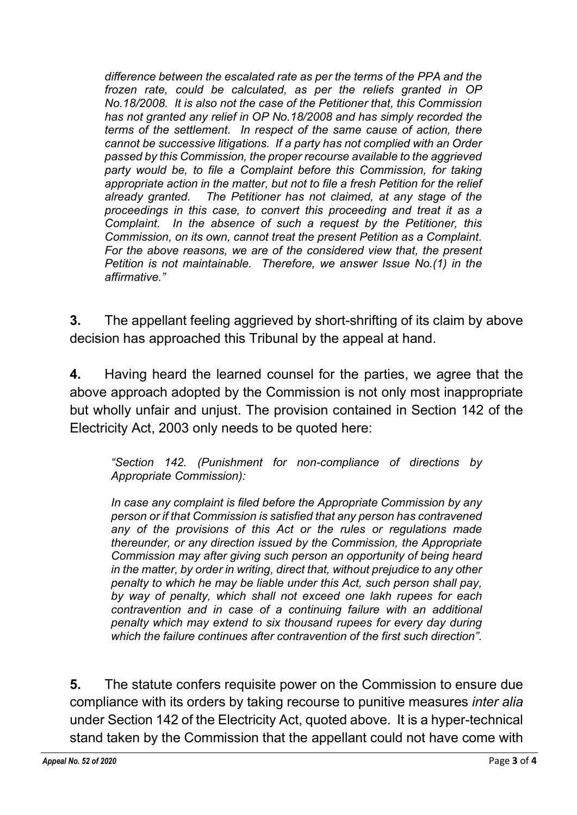difference between the escalated rate as per the terms of the PPA and the frozen rate, could be calculated, as per the reliefs granted in OP No.18/2008. It is also not the case of the Petitioner that, this Commission has not granted any relief in OP No.18/2008 and has simply recorded the terms of the settlement. In respect of the same cause of action, there cannot be successive litigations. If a party has not complied with an Order passed by this Commission, the proper recourse available to the aggrieved party would be, to file a Complaint before this Commission, for taking appropriate action in the matter, but not to file a fresh Petition for the relief already granted. The Petitioner has not claimed, at any stage of the proceedings in this case, to convert this proceeding and treat it as a Complaint. In the absence of such a request by the Petitioner, this Commission, on its own, cannot treat the present Petition as a Complaint. For the above reasons, we are of the considered view that, the present Petition is not maintainable. Therefore, we answer Issue No.(1) in the affirmative."

3. The appellant feeling aggrieved by short-shrifting of its claim by above decision has approached this Tribunal by the appeal at hand.

4. Having heard the learned counsel for the parties, we agree that the above approach adopted by the Commission is not only most inappropriate but wholly unfair and unjust. The provision contained in Section 142 of the Electricity Act, 2003 only needs to be quoted here:

"Section 142. (Punishment for non-compliance of directions by Appropriate Commission):

In case any complaint is filed before the Appropriate Commission by any person or if that Commission is satisfied that any person has contravened any of the provisions of this Act or the rules or regulations made thereunder, or any direction issued by the Commission, the Appropriate Commission may after giving such person an opportunity of being heard in the matter, by order in writing, direct that, without prejudice to any other penalty to which he may be liable under this Act, such person shall pay, by way of penalty, which shall not exceed one lakh rupees for each contravention and in case of a continuing failure with an additional penalty which may extend to six thousand rupees for every day during which the failure continues after contravention of the first such direction".

5. The statute confers requisite power on the Commission to ensure due compliance with its orders by taking recourse to punitive measures inter alia under Section 142 of the Electricity Act, quoted above. It is a hyper-technical stand taken by the Commission that the appellant could not have come with